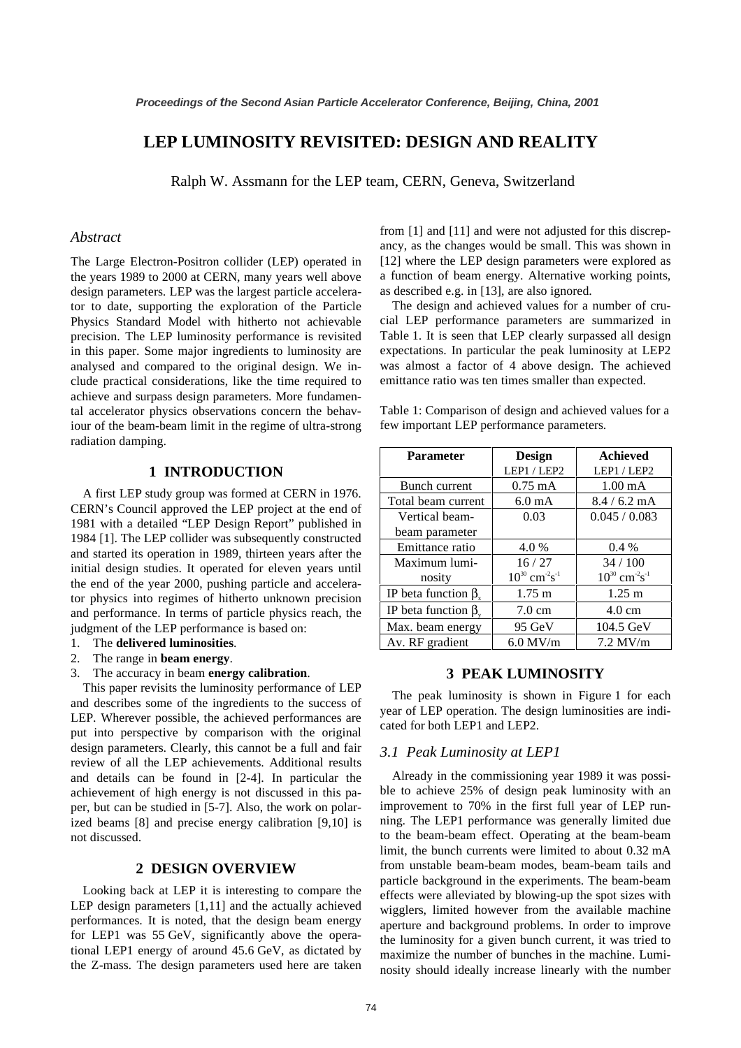# **LEP LUMINOSITY REVISITED: DESIGN AND REALITY**

Ralph W. Assmann for the LEP team, CERN, Geneva, Switzerland

## *Abstract*

The Large Electron-Positron collider (LEP) operated in the years 1989 to 2000 at CERN, many years well above design parameters. LEP was the largest particle accelerator to date, supporting the exploration of the Particle Physics Standard Model with hitherto not achievable precision. The LEP luminosity performance is revisited in this paper. Some major ingredients to luminosity are analysed and compared to the original design. We include practical considerations, like the time required to achieve and surpass design parameters. More fundamental accelerator physics observations concern the behaviour of the beam-beam limit in the regime of ultra-strong radiation damping.

# **1 INTRODUCTION**

A first LEP study group was formed at CERN in 1976. CERN's Council approved the LEP project at the end of 1981 with a detailed "LEP Design Report" published in 1984 [1]. The LEP collider was subsequently constructed and started its operation in 1989, thirteen years after the initial design studies. It operated for eleven years until the end of the year 2000, pushing particle and accelerator physics into regimes of hitherto unknown precision and performance. In terms of particle physics reach, the judgment of the LEP performance is based on:

- 1. The **delivered luminosities**.
- 2. The range in **beam energy**.
- 3. The accuracy in beam **energy calibration**.

This paper revisits the luminosity performance of LEP and describes some of the ingredients to the success of LEP. Wherever possible, the achieved performances are put into perspective by comparison with the original design parameters. Clearly, this cannot be a full and fair review of all the LEP achievements. Additional results and details can be found in [2-4]. In particular the achievement of high energy is not discussed in this paper, but can be studied in [5-7]. Also, the work on polarized beams [8] and precise energy calibration [9,10] is not discussed.

# **2 DESIGN OVERVIEW**

Looking back at LEP it is interesting to compare the LEP design parameters [1,11] and the actually achieved performances. It is noted, that the design beam energy for LEP1 was 55 GeV, significantly above the operational LEP1 energy of around 45.6 GeV, as dictated by the Z-mass. The design parameters used here are taken

from [1] and [11] and were not adjusted for this discrepancy, as the changes would be small. This was shown in [12] where the LEP design parameters were explored as a function of beam energy. Alternative working points, as described e.g. in [13], are also ignored.

The design and achieved values for a number of crucial LEP performance parameters are summarized in Table 1. It is seen that LEP clearly surpassed all design expectations. In particular the peak luminosity at LEP2 was almost a factor of 4 above design. The achieved emittance ratio was ten times smaller than expected.

Table 1: Comparison of design and achieved values for a few important LEP performance parameters.

| <b>Parameter</b>           | <b>Design</b>                              | <b>Achieved</b>                            |  |  |
|----------------------------|--------------------------------------------|--------------------------------------------|--|--|
|                            | LEP1 / LEP2                                | LEP1 / LEP2                                |  |  |
| Bunch current              | $0.75$ mA                                  | $1.00 \text{ mA}$                          |  |  |
| Total beam current         | 6.0 <sub>m</sub> A                         | $8.4/6.2$ mA                               |  |  |
| Vertical beam-             | 0.03                                       | 0.045 / 0.083                              |  |  |
| beam parameter             |                                            |                                            |  |  |
| Emittance ratio            | 4.0%                                       | $0.4\%$                                    |  |  |
| Maximum lumi-              | 16/27                                      | 34/100                                     |  |  |
| nosity                     | $10^{30}$ cm <sup>-2</sup> s <sup>-1</sup> | $10^{30}$ cm <sup>-2</sup> s <sup>-1</sup> |  |  |
| IP beta function $\beta$ . | $1.75 \text{ m}$                           | $1.25 \text{ m}$                           |  |  |
| IP beta function $\beta$ . | $7.0 \text{ cm}$                           | $4.0 \text{ cm}$                           |  |  |
| Max. beam energy           | 95 GeV                                     | 104.5 GeV                                  |  |  |
| Av. RF gradient            | $6.0$ MV/m                                 | $7.2$ MV/m                                 |  |  |

# **3 PEAK LUMINOSITY**

The peak luminosity is shown in Figure 1 for each year of LEP operation. The design luminosities are indicated for both LEP1 and LEP2.

## *3.1 Peak Luminosity at LEP1*

Already in the commissioning year 1989 it was possible to achieve 25% of design peak luminosity with an improvement to 70% in the first full year of LEP running. The LEP1 performance was generally limited due to the beam-beam effect. Operating at the beam-beam limit, the bunch currents were limited to about 0.32 mA from unstable beam-beam modes, beam-beam tails and particle background in the experiments. The beam-beam effects were alleviated by blowing-up the spot sizes with wigglers, limited however from the available machine aperture and background problems. In order to improve the luminosity for a given bunch current, it was tried to maximize the number of bunches in the machine. Luminosity should ideally increase linearly with the number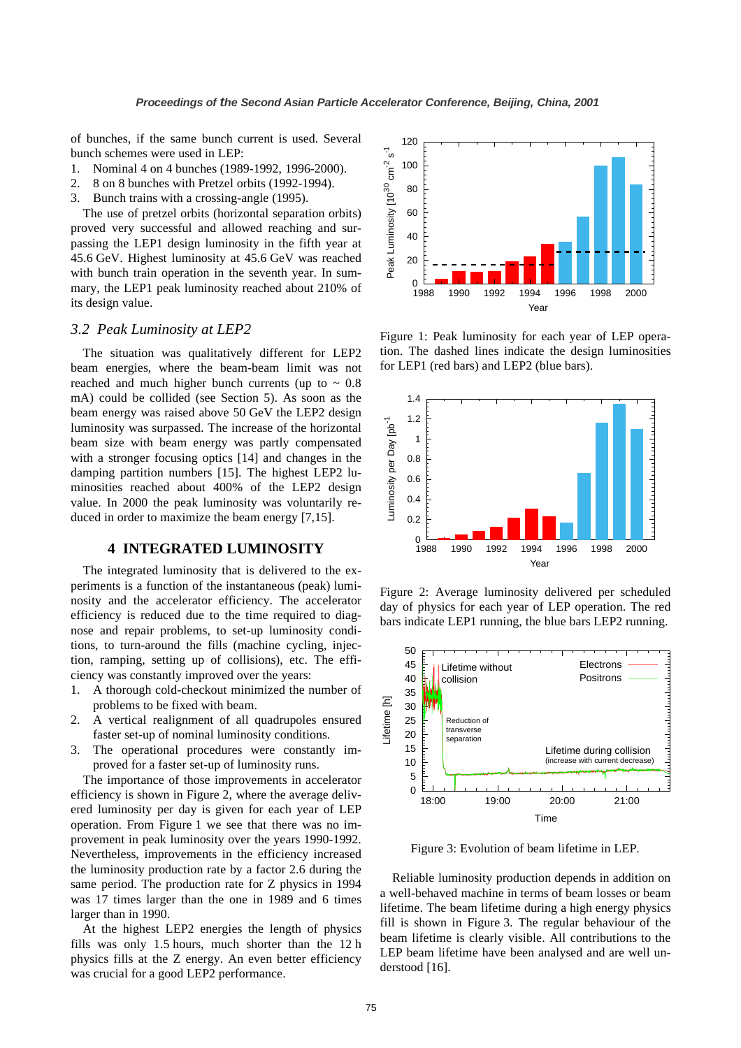of bunches, if the same bunch current is used. Several bunch schemes were used in LEP:

- 1. Nominal 4 on 4 bunches (1989-1992, 1996-2000).
- 2. 8 on 8 bunches with Pretzel orbits (1992-1994).
- 3. Bunch trains with a crossing-angle (1995).

The use of pretzel orbits (horizontal separation orbits) proved very successful and allowed reaching and surpassing the LEP1 design luminosity in the fifth year at 45.6 GeV. Highest luminosity at 45.6 GeV was reached with bunch train operation in the seventh year. In summary, the LEP1 peak luminosity reached about 210% of its design value.

#### *3.2 Peak Luminosity at LEP2*

The situation was qualitatively different for LEP2 beam energies, where the beam-beam limit was not reached and much higher bunch currents (up to  $\sim 0.8$ mA) could be collided (see Section 5). As soon as the beam energy was raised above 50 GeV the LEP2 design luminosity was surpassed. The increase of the horizontal beam size with beam energy was partly compensated with a stronger focusing optics [14] and changes in the damping partition numbers [15]. The highest LEP2 luminosities reached about 400% of the LEP2 design value. In 2000 the peak luminosity was voluntarily reduced in order to maximize the beam energy [7,15].

# **4 INTEGRATED LUMINOSITY**

The integrated luminosity that is delivered to the experiments is a function of the instantaneous (peak) luminosity and the accelerator efficiency. The accelerator efficiency is reduced due to the time required to diagnose and repair problems, to set-up luminosity conditions, to turn-around the fills (machine cycling, injection, ramping, setting up of collisions), etc. The efficiency was constantly improved over the years:

- 1. A thorough cold-checkout minimized the number of problems to be fixed with beam.
- 2. A vertical realignment of all quadrupoles ensured faster set-up of nominal luminosity conditions.
- 3. The operational procedures were constantly improved for a faster set-up of luminosity runs.

The importance of those improvements in accelerator efficiency is shown in Figure 2, where the average delivered luminosity per day is given for each year of LEP operation. From Figure 1 we see that there was no improvement in peak luminosity over the years 1990-1992. Nevertheless, improvements in the efficiency increased the luminosity production rate by a factor 2.6 during the same period. The production rate for Z physics in 1994 was 17 times larger than the one in 1989 and 6 times larger than in 1990.

At the highest LEP2 energies the length of physics fills was only 1.5 hours, much shorter than the 12 h physics fills at the Z energy. An even better efficiency was crucial for a good LEP2 performance.



Figure 1: Peak luminosity for each year of LEP operation. The dashed lines indicate the design luminosities for LEP1 (red bars) and LEP2 (blue bars).



Figure 2: Average luminosity delivered per scheduled day of physics for each year of LEP operation. The red bars indicate LEP1 running, the blue bars LEP2 running.



Figure 3: Evolution of beam lifetime in LEP.

Reliable luminosity production depends in addition on a well-behaved machine in terms of beam losses or beam lifetime. The beam lifetime during a high energy physics fill is shown in Figure 3. The regular behaviour of the beam lifetime is clearly visible. All contributions to the LEP beam lifetime have been analysed and are well understood [16].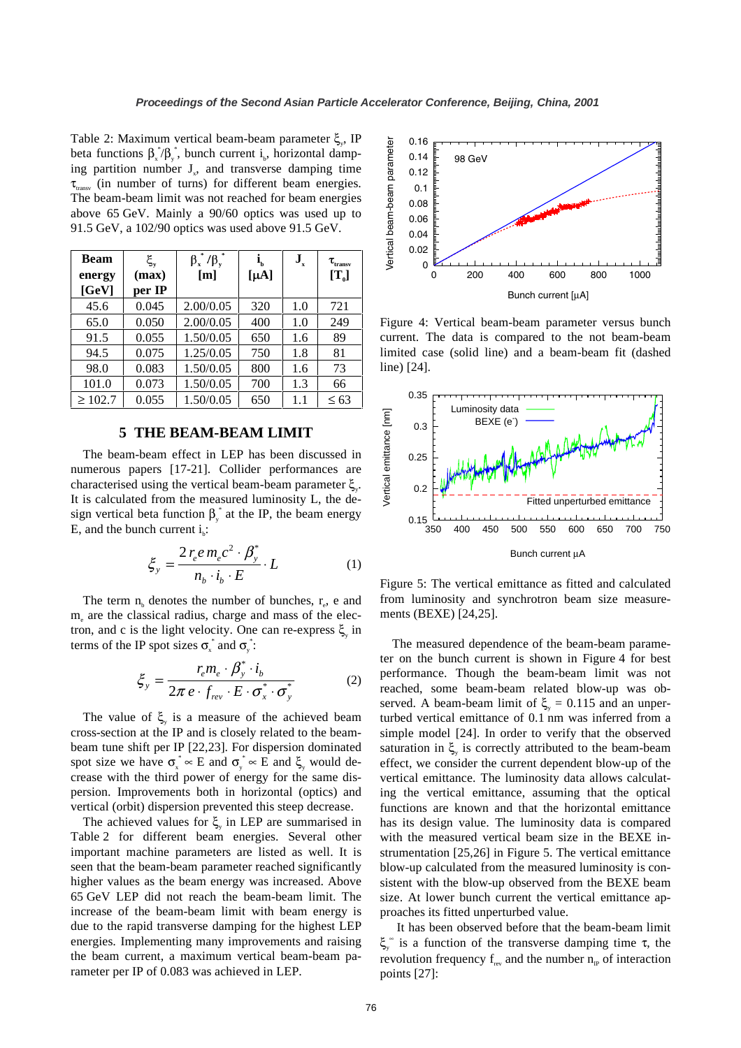Table 2: Maximum vertical beam-beam parameter  $\xi$ , IP beta functions  $\beta_x^*/\beta_y^*$ , bunch current i<sub>b</sub>, horizontal damping partition number  $J_{x}$ , and transverse damping time  $\tau_{transv}$  (in number of turns) for different beam energies. The beam-beam limit was not reached for beam energies above 65 GeV. Mainly a 90/60 optics was used up to 91.5 GeV, a 102/90 optics was used above 91.5 GeV.

| Beam         | $\xi_{\rm v}$ | $\beta_x^*/\beta_y^*$ | ı,        | $J_{x}$ | $\tau_{_{\rm transv}}$ |
|--------------|---------------|-----------------------|-----------|---------|------------------------|
| energy       | (max)         | [m]                   | $[\mu A]$ |         | $[T_{0}]$              |
| [GeV]        | per IP        |                       |           |         |                        |
| 45.6         | 0.045         | 2.00/0.05             | 320       | 1.0     | 721                    |
| 65.0         | 0.050         | 2.00/0.05             | 400       | 1.0     | 249                    |
| 91.5         | 0.055         | 1.50/0.05             | 650       | 1.6     | 89                     |
| 94.5         | 0.075         | 1.25/0.05             | 750       | 1.8     | 81                     |
| 98.0         | 0.083         | 1.50/0.05             | 800       | 1.6     | 73                     |
| 101.0        | 0.073         | 1.50/0.05             | 700       | 1.3     | 66                     |
| $\geq 102.7$ | 0.055         | 1.50/0.05             | 650       | 1.1     | $\leq 63$              |

# **5 THE BEAM-BEAM LIMIT**

The beam-beam effect in LEP has been discussed in numerous papers [17-21]. Collider performances are characterised using the vertical beam-beam parameter  $\zeta$ . It is calculated from the measured luminosity L, the design vertical beta function  $\beta_{y}^{*}$  at the IP, the beam energy E, and the bunch current  $i_b$ :

$$
\xi_y = \frac{2 r_e e m_e c^2 \cdot \beta_y^*}{n_b \cdot i_b \cdot E} \cdot L \tag{1}
$$

The term  $n_b$  denotes the number of bunches,  $r_e$ , e and me are the classical radius, charge and mass of the electron, and c is the light velocity. One can re-express  $\xi_{y}$  in terms of the IP spot sizes  $\sigma_x^*$  and  $\sigma_y^*$ :

$$
\xi_y = \frac{r_e m_e \cdot \beta_y^* \cdot i_b}{2\pi e \cdot f_{rev} \cdot E \cdot \sigma_x^* \cdot \sigma_y^*}
$$
 (2)

The value of  $\xi$  is a measure of the achieved beam cross-section at the IP and is closely related to the beambeam tune shift per IP [22,23]. For dispersion dominated spot size we have  $\sigma_x^* \propto E$  and  $\sigma_y^* \propto E$  and  $\xi_y$  would decrease with the third power of energy for the same dispersion. Improvements both in horizontal (optics) and vertical (orbit) dispersion prevented this steep decrease.

The achieved values for  $\xi$ <sub>y</sub> in LEP are summarised in Table 2 for different beam energies. Several other important machine parameters are listed as well. It is seen that the beam-beam parameter reached significantly higher values as the beam energy was increased. Above 65 GeV LEP did not reach the beam-beam limit. The increase of the beam-beam limit with beam energy is due to the rapid transverse damping for the highest LEP energies. Implementing many improvements and raising the beam current, a maximum vertical beam-beam parameter per IP of 0.083 was achieved in LEP.



Figure 4: Vertical beam-beam parameter versus bunch current. The data is compared to the not beam-beam limited case (solid line) and a beam-beam fit (dashed line) [24].



Figure 5: The vertical emittance as fitted and calculated from luminosity and synchrotron beam size measurements (BEXE) [24,25].

The measured dependence of the beam-beam parameter on the bunch current is shown in Figure 4 for best performance. Though the beam-beam limit was not reached, some beam-beam related blow-up was observed. A beam-beam limit of  $\xi_v = 0.115$  and an unperturbed vertical emittance of 0.1 nm was inferred from a simple model [24]. In order to verify that the observed saturation in  $\xi$  is correctly attributed to the beam-beam effect, we consider the current dependent blow-up of the vertical emittance. The luminosity data allows calculating the vertical emittance, assuming that the optical functions are known and that the horizontal emittance has its design value. The luminosity data is compared with the measured vertical beam size in the BEXE instrumentation [25,26] in Figure 5. The vertical emittance blow-up calculated from the measured luminosity is consistent with the blow-up observed from the BEXE beam size. At lower bunch current the vertical emittance approaches its fitted unperturbed value.

It has been observed before that the beam-beam limit ξ<sup>*m*</sup> is a function of the transverse damping time τ, the revolution frequency  $f_{rev}$  and the number  $n_{IP}$  of interaction points [27]: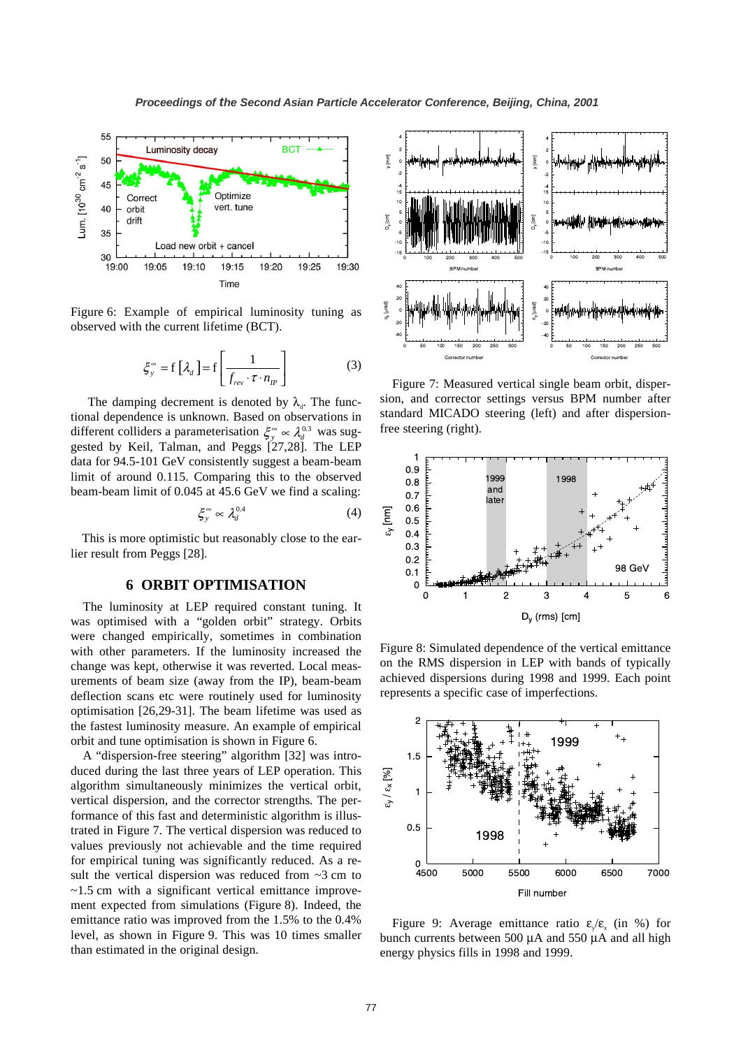

Figure 6: Example of empirical luminosity tuning as observed with the current lifetime (BCT).

$$
\xi_{y}^{\infty} = f\left[\lambda_{d}\right] = f\left[\frac{1}{f_{rev} \cdot \tau \cdot n_{IP}}\right]
$$
 (3)

The damping decrement is denoted by  $\lambda_{d}$ . The functional dependence is unknown. Based on observations in different colliders a parameterisation  $\zeta_{v}^{\infty} \propto \lambda_{d}^{0.3}$  was suggested by Keil, Talman, and Peggs [27,28]. The LEP data for 94.5-101 GeV consistently suggest a beam-beam limit of around 0.115. Comparing this to the observed beam-beam limit of 0.045 at 45.6 GeV we find a scaling:

$$
\xi_y^{\infty} \propto \lambda_d^{0.4} \tag{4}
$$

This is more optimistic but reasonably close to the earlier result from Peggs [28].

#### **6 ORBIT OPTIMISATION**

The luminosity at LEP required constant tuning. It was optimised with a "golden orbit" strategy. Orbits were changed empirically, sometimes in combination with other parameters. If the luminosity increased the change was kept, otherwise it was reverted. Local measurements of beam size (away from the IP), beam-beam deflection scans etc were routinely used for luminosity optimisation [26,29-31]. The beam lifetime was used as the fastest luminosity measure. An example of empirical orbit and tune optimisation is shown in Figure 6.

A "dispersion-free steering" algorithm [32] was introduced during the last three years of LEP operation. This algorithm simultaneously minimizes the vertical orbit, vertical dispersion, and the corrector strengths. The performance of this fast and deterministic algorithm is illustrated in Figure 7. The vertical dispersion was reduced to values previously not achievable and the time required for empirical tuning was significantly reduced. As a result the vertical dispersion was reduced from  $\sim$ 3 cm to ~1.5 cm with a significant vertical emittance improvement expected from simulations (Figure 8). Indeed, the emittance ratio was improved from the 1.5% to the 0.4% level, as shown in Figure 9. This was 10 times smaller than estimated in the original design.



Figure 7: Measured vertical single beam orbit, dispersion, and corrector settings versus BPM number after standard MICADO steering (left) and after dispersionfree steering (right).



Figure 8: Simulated dependence of the vertical emittance on the RMS dispersion in LEP with bands of typically achieved dispersions during 1998 and 1999. Each point represents a specific case of imperfections.



Figure 9: Average emittance ratio  $\varepsilon/\varepsilon_x$  (in %) for bunch currents between 500 µA and 550 µA and all high energy physics fills in 1998 and 1999.